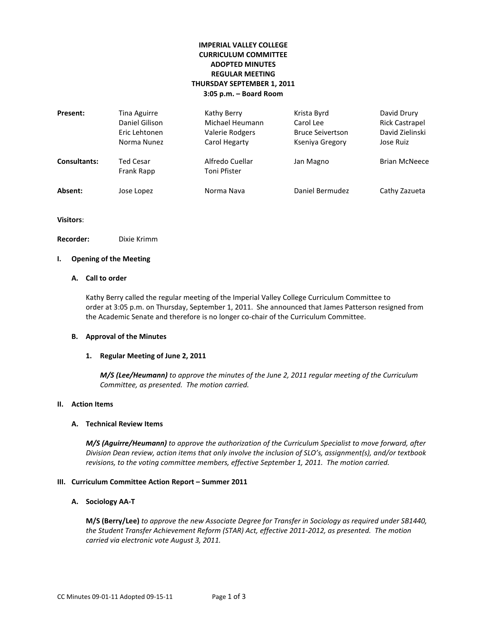## **IMPERIAL VALLEY COLLEGE CURRICULUM COMMITTEE ADOPTED MINUTES REGULAR MEETING THURSDAY SEPTEMBER 1, 2011 3:05 p.m. – Board Room**

| Present:            | Tina Aguirre<br>Daniel Gilison<br>Eric Lehtonen<br>Norma Nunez | Kathy Berry<br>Michael Heumann<br>Valerie Rodgers<br>Carol Hegarty | Krista Byrd<br>Carol Lee<br><b>Bruce Seivertson</b><br>Kseniya Gregory | David Drury<br><b>Rick Castrapel</b><br>David Zielinski<br>Jose Ruiz |
|---------------------|----------------------------------------------------------------|--------------------------------------------------------------------|------------------------------------------------------------------------|----------------------------------------------------------------------|
| <b>Consultants:</b> | Ted Cesar<br>Frank Rapp                                        | Alfredo Cuellar<br>Toni Pfister                                    | Jan Magno                                                              | <b>Brian McNeece</b>                                                 |
| Absent:             | Jose Lopez                                                     | Norma Nava                                                         | Daniel Bermudez                                                        | Cathy Zazueta                                                        |

**Visitors**:

**Recorder:** Dixie Krimm

# **I. Opening of the Meeting**

### **A. Call to order**

Kathy Berry called the regular meeting of the Imperial Valley College Curriculum Committee to order at 3:05 p.m. on Thursday, September 1, 2011. She announced that James Patterson resigned from the Academic Senate and therefore is no longer co-chair of the Curriculum Committee.

#### **B. Approval of the Minutes**

#### **1. Regular Meeting of June 2, 2011**

*M/S (Lee/Heumann) to approve the minutes of the June 2, 2011 regular meeting of the Curriculum Committee, as presented. The motion carried.*

### **II. Action Items**

#### **A. Technical Review Items**

*M/S (Aguirre/Heumann) to approve the authorization of the Curriculum Specialist to move forward, after Division Dean review, action items that only involve the inclusion of SLO's, assignment(s), and/or textbook revisions, to the voting committee members, effective September 1, 2011. The motion carried.*

#### **III. Curriculum Committee Action Report – Summer 2011**

#### **A. Sociology AA-T**

**M/S (Berry/Lee)** *to approve the new Associate Degree for Transfer in Sociology as required under SB1440, the Student Transfer Achievement Reform (STAR) Act, effective 2011-2012, as presented. The motion carried via electronic vote August 3, 2011.*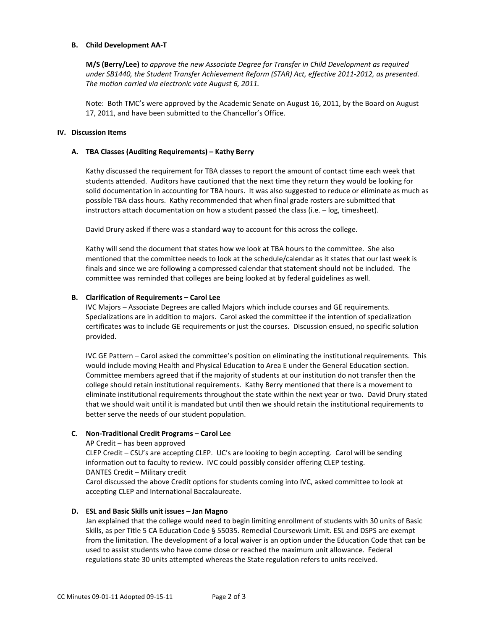#### **B. Child Development AA-T**

**M/S (Berry/Lee)** *to approve the new Associate Degree for Transfer in Child Development as required under SB1440, the Student Transfer Achievement Reform (STAR) Act, effective 2011-2012, as presented. The motion carried via electronic vote August 6, 2011.*

Note: Both TMC's were approved by the Academic Senate on August 16, 2011, by the Board on August 17, 2011, and have been submitted to the Chancellor's Office.

#### **IV. Discussion Items**

#### **A. TBA Classes (Auditing Requirements) – Kathy Berry**

Kathy discussed the requirement for TBA classes to report the amount of contact time each week that students attended. Auditors have cautioned that the next time they return they would be looking for solid documentation in accounting for TBA hours. It was also suggested to reduce or eliminate as much as possible TBA class hours. Kathy recommended that when final grade rosters are submitted that instructors attach documentation on how a student passed the class (i.e. – log, timesheet).

David Drury asked if there was a standard way to account for this across the college.

Kathy will send the document that states how we look at TBA hours to the committee. She also mentioned that the committee needs to look at the schedule/calendar as it states that our last week is finals and since we are following a compressed calendar that statement should not be included. The committee was reminded that colleges are being looked at by federal guidelines as well.

#### **B. Clarification of Requirements – Carol Lee**

IVC Majors – Associate Degrees are called Majors which include courses and GE requirements. Specializations are in addition to majors. Carol asked the committee if the intention of specialization certificates was to include GE requirements or just the courses. Discussion ensued, no specific solution provided.

IVC GE Pattern – Carol asked the committee's position on eliminating the institutional requirements. This would include moving Health and Physical Education to Area E under the General Education section. Committee members agreed that if the majority of students at our institution do not transfer then the college should retain institutional requirements. Kathy Berry mentioned that there is a movement to eliminate institutional requirements throughout the state within the next year or two. David Drury stated that we should wait until it is mandated but until then we should retain the institutional requirements to better serve the needs of our student population.

#### **C. Non-Traditional Credit Programs – Carol Lee**

AP Credit – has been approved

CLEP Credit – CSU's are accepting CLEP. UC's are looking to begin accepting. Carol will be sending information out to faculty to review. IVC could possibly consider offering CLEP testing. DANTES Credit – Military credit

Carol discussed the above Credit options for students coming into IVC, asked committee to look at accepting CLEP and International Baccalaureate.

#### **D. ESL and Basic Skills unit issues – Jan Magno**

Jan explained that the college would need to begin limiting enrollment of students with 30 units of Basic Skills, as per Title 5 CA Education Code § 55035. Remedial Coursework Limit. ESL and DSPS are exempt from the limitation. The development of a local waiver is an option under the Education Code that can be used to assist students who have come close or reached the maximum unit allowance. Federal regulations state 30 units attempted whereas the State regulation refers to units received.